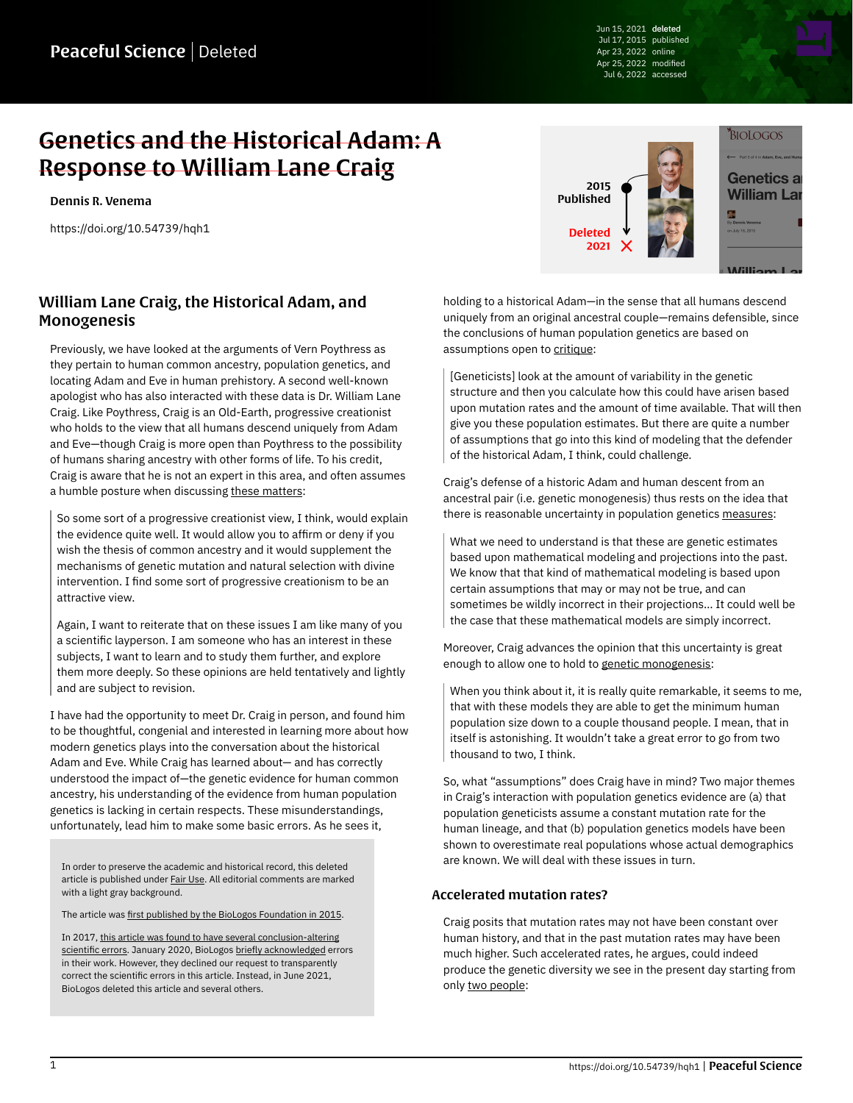Jun 15, 2021 deleted Jul 17, 2015 published Apr 23, 2022 online Apr 25, 2022 modified Jul 6, 2022 accessed

# Genetics and the Historical Adam: A Response to William Lane Craig

[Dennis R. Venema](https://peacefulscience.org/authors/dennis-venema/)

<https://doi.org/10.54739/hqh1>



# William Lane Craig, the Historical Adam, and Monogenesis

Previously, we have looked at the arguments of Vern Poythress as they pertain to human common ancestry, population genetics, and locating Adam and Eve in human prehistory. A second well-known apologist who has also interacted with these data is Dr. William Lane Craig. Like Poythress, Craig is an Old-Earth, progressive creationist who holds to the view that all humans descend uniquely from Adam and Eve—though Craig is more open than Poythress to the possibility of humans sharing ancestry with other forms of life. To his credit, Craig is aware that he is not an expert in this area, and often assumes a humble posture when discussing [these matters](https://www.reasonablefaith.org/podcasts/defenders-podcast-series-2/s2-creation-and-evolution/creation-and-evolution-part-20):

So some sort of a progressive creationist view, I think, would explain the evidence quite well. It would allow you to affirm or deny if you wish the thesis of common ancestry and it would supplement the mechanisms of genetic mutation and natural selection with divine intervention. I find some sort of progressive creationism to be an attractive view.

Again, I want to reiterate that on these issues I am like many of you a scientific layperson. I am someone who has an interest in these subjects, I want to learn and to study them further, and explore them more deeply. So these opinions are held tentatively and lightly and are subject to revision.

I have had the opportunity to meet Dr. Craig in person, and found him to be thoughtful, congenial and interested in learning more about how modern genetics plays into the conversation about the historical Adam and Eve. While Craig has learned about— and has correctly understood the impact of—the genetic evidence for human common ancestry, his understanding of the evidence from human population genetics is lacking in certain respects. These misunderstandings, unfortunately, lead him to make some basic errors. As he sees it,

In order to preserve the academic and historical record, this deleted article is published under [Fair Use.](https://peacefulscience.org/prints/fair-use-deleted/) All editorial comments are marked with a light gray background.

The article was [first published by the BioLogos Foundation in 2015](https://web.archive.org/web/20200812100251/https://biologos.org/articles/series/genetics-and-the-historical-adam-responses-to-popular-arguments/adam-eve-and-human-population-genetics).

In 2017, [this article was found to have several conclusion-altering](https://peacefulscience.org/articles/three-stories-on-adam/) [scientific errors](https://peacefulscience.org/articles/three-stories-on-adam/). January 2020, BioLogos [briefly acknowledged](https://biologos.org/articles/truth-seeking-in-science) errors in their work. However, they declined our request to transparently correct the scientific errors in this article. Instead, in June 2021, BioLogos deleted this article and several others.

holding to a historical Adam—in the sense that all humans descend uniquely from an original ancestral couple—remains defensible, since the conclusions of human population genetics are based on assumptions open to [critique:](https://www.reasonablefaith.org/podcasts/defenders-podcast-series-2/s2-doctrine-of-man/doctrine-of-man-part-11)

[Geneticists] look at the amount of variability in the genetic structure and then you calculate how this could have arisen based upon mutation rates and the amount of time available. That will then give you these population estimates. But there are quite a number of assumptions that go into this kind of modeling that the defender of the historical Adam, I think, could challenge.

Craig's defense of a historic Adam and human descent from an ancestral pair (i.e. genetic monogenesis) thus rests on the idea that there is reasonable uncertainty in population genetics [measures](https://www.reasonablefaith.org/media/reasonable-faith-podcast/the-historical-adam-and-eve):

What we need to understand is that these are genetic estimates based upon mathematical modeling and projections into the past. We know that that kind of mathematical modeling is based upon certain assumptions that may or may not be true, and can sometimes be wildly incorrect in their projections… It could well be the case that these mathematical models are simply incorrect.

Moreover, Craig advances the opinion that this uncertainty is great enough to allow one to hold to [genetic monogenesis](https://www.reasonablefaith.org/podcasts/defenders-podcast-series-2/s2-doctrine-of-man/doctrine-of-man-part-11):

When you think about it, it is really quite remarkable, it seems to me, that with these models they are able to get the minimum human population size down to a couple thousand people. I mean, that in itself is astonishing. It wouldn't take a great error to go from two thousand to two, I think.

So, what "assumptions" does Craig have in mind? Two major themes in Craig's interaction with population genetics evidence are (a) that population geneticists assume a constant mutation rate for the human lineage, and that (b) population genetics models have been shown to overestimate real populations whose actual demographics are known. We will deal with these issues in turn.

#### Accelerated mutation rates?

Craig posits that mutation rates may not have been constant over human history, and that in the past mutation rates may have been much higher. Such accelerated rates, he argues, could indeed produce the genetic diversity we see in the present day starting from only [two people](https://www.reasonablefaith.org/media/reasonable-faith-podcast/the-historical-adam-and-eve):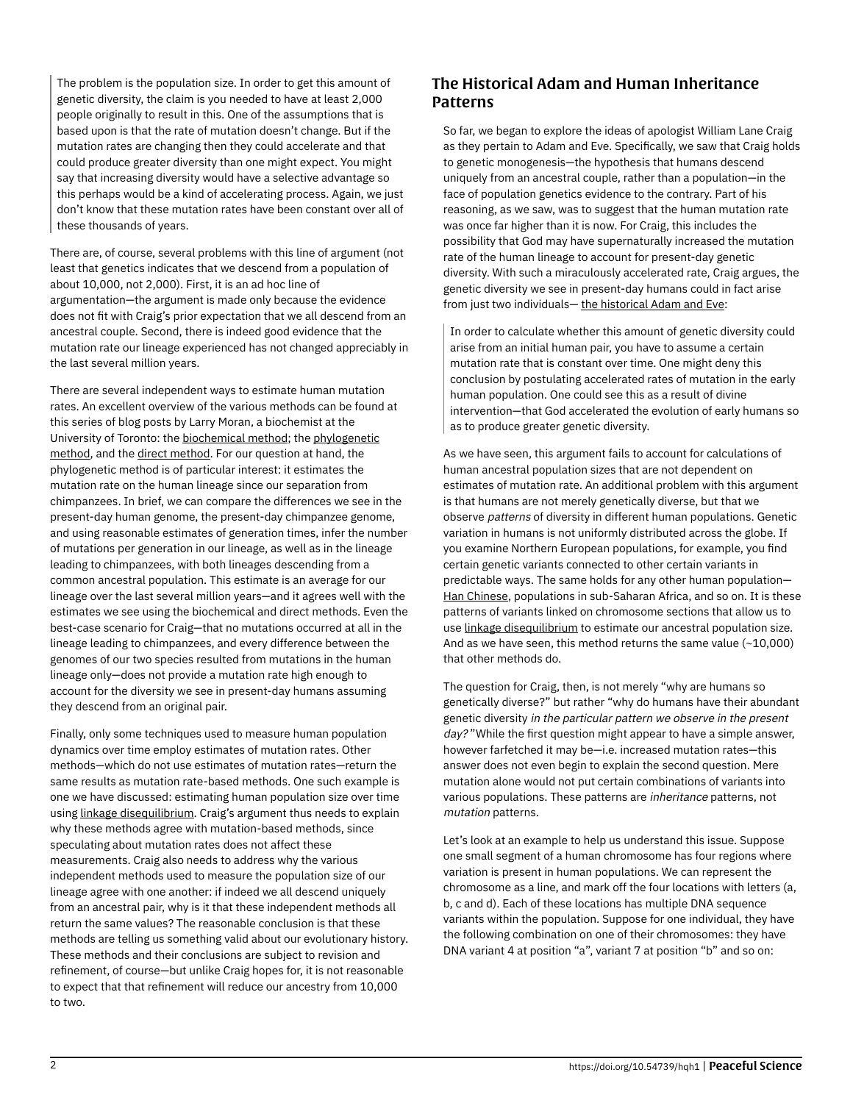The problem is the population size. In order to get this amount of genetic diversity, the claim is you needed to have at least 2,000 people originally to result in this. One of the assumptions that is based upon is that the rate of mutation doesn't change. But if the mutation rates are changing then they could accelerate and that could produce greater diversity than one might expect. You might say that increasing diversity would have a selective advantage so this perhaps would be a kind of accelerating process. Again, we just don't know that these mutation rates have been constant over all of these thousands of years.

There are, of course, several problems with this line of argument (not least that genetics indicates that we descend from a population of about 10,000, not 2,000). First, it is an ad hoc line of argumentation—the argument is made only because the evidence does not fit with Craig's prior expectation that we all descend from an ancestral couple. Second, there is indeed good evidence that the mutation rate our lineage experienced has not changed appreciably in the last several million years.

There are several independent ways to estimate human mutation rates. An excellent overview of the various methods can be found at this series of blog posts by Larry Moran, a biochemist at the University of Toronto: the [biochemical method;](https://sandwalk.blogspot.ca/2013/03/estimating-human-human-mutatin-rate.html) the [phylogenetic](https://sandwalk.blogspot.ca/2013/03/estimating-human-mutation-rate.html) [method,](https://sandwalk.blogspot.ca/2013/03/estimating-human-mutation-rate.html) and the [direct method.](https://sandwalk.blogspot.ca/2013/03/estimating-human-mutation-rate-direct.html) For our question at hand, the phylogenetic method is of particular interest: it estimates the mutation rate on the human lineage since our separation from chimpanzees. In brief, we can compare the differences we see in the present-day human genome, the present-day chimpanzee genome, and using reasonable estimates of generation times, infer the number of mutations per generation in our lineage, as well as in the lineage leading to chimpanzees, with both lineages descending from a common ancestral population. This estimate is an average for our lineage over the last several million years—and it agrees well with the estimates we see using the biochemical and direct methods. Even the best-case scenario for Craig—that no mutations occurred at all in the lineage leading to chimpanzees, and every difference between the genomes of our two species resulted from mutations in the human lineage only—does not provide a mutation rate high enough to account for the diversity we see in present-day humans assuming they descend from an original pair.

Finally, only some techniques used to measure human population dynamics over time employ estimates of mutation rates. Other methods—which do not use estimates of mutation rates—return the same results as mutation rate-based methods. One such example is one we have discussed: estimating human population size over time using [linkage disequilibrium](https://peacefulscience.org/prints/deleted/adam-eve-and-human-population-genetics/#delsignature-in-the-snpsdel). Craig's argument thus needs to explain why these methods agree with mutation-based methods, since speculating about mutation rates does not affect these measurements. Craig also needs to address why the various independent methods used to measure the population size of our lineage agree with one another: if indeed we all descend uniquely from an ancestral pair, why is it that these independent methods all return the same values? The reasonable conclusion is that these methods are telling us something valid about our evolutionary history. These methods and their conclusions are subject to revision and refinement, of course—but unlike Craig hopes for, it is not reasonable to expect that that refinement will reduce our ancestry from 10,000 to two.

# The Historical Adam and Human Inheritance Patterns

So far, we began to explore the ideas of apologist William Lane Craig as they pertain to Adam and Eve. Specifically, we saw that Craig holds to genetic monogenesis—the hypothesis that humans descend uniquely from an ancestral couple, rather than a population—in the face of population genetics evidence to the contrary. Part of his reasoning, as we saw, was to suggest that the human mutation rate was once far higher than it is now. For Craig, this includes the possibility that God may have supernaturally increased the mutation rate of the human lineage to account for present-day genetic diversity. With such a miraculously accelerated rate, Craig argues, the genetic diversity we see in present-day humans could in fact arise from just two individuals— [the historical Adam and Eve](https://www.reasonablefaith.org/podcasts/defenders-podcast-series-2/s2-doctrine-of-man/doctrine-of-man-part-11):

In order to calculate whether this amount of genetic diversity could arise from an initial human pair, you have to assume a certain mutation rate that is constant over time. One might deny this conclusion by postulating accelerated rates of mutation in the early human population. One could see this as a result of divine intervention—that God accelerated the evolution of early humans so as to produce greater genetic diversity.

As we have seen, this argument fails to account for calculations of human ancestral population sizes that are not dependent on estimates of mutation rate. An additional problem with this argument is that humans are not merely genetically diverse, but that we observe patterns of diversity in different human populations. Genetic variation in humans is not uniformly distributed across the globe. If you examine Northern European populations, for example, you find certain genetic variants connected to other certain variants in predictable ways. The same holds for any other human population— [Han Chinese,](https://en.wikipedia.org/wiki/Han_Chinese) populations in sub-Saharan Africa, and so on. It is these patterns of variants linked on chromosome sections that allow us to use [linkage disequilibrium](https://peacefulscience.org/prints/deleted/adam-eve-and-human-population-genetics/#delsignature-in-the-snpsdel) to estimate our ancestral population size. And as we have seen, this method returns the same value (~10,000) that other methods do.

The question for Craig, then, is not merely "why are humans so genetically diverse?" but rather "why do humans have their abundant genetic diversity in the particular pattern we observe in the present day?" While the first question might appear to have a simple answer, however farfetched it may be—i.e. increased mutation rates—this answer does not even begin to explain the second question. Mere mutation alone would not put certain combinations of variants into various populations. These patterns are inheritance patterns, not mutation patterns.

Let's look at an example to help us understand this issue. Suppose one small segment of a human chromosome has four regions where variation is present in human populations. We can represent the chromosome as a line, and mark off the four locations with letters (a, b, c and d). Each of these locations has multiple DNA sequence variants within the population. Suppose for one individual, they have the following combination on one of their chromosomes: they have DNA variant 4 at position "a", variant 7 at position "b" and so on: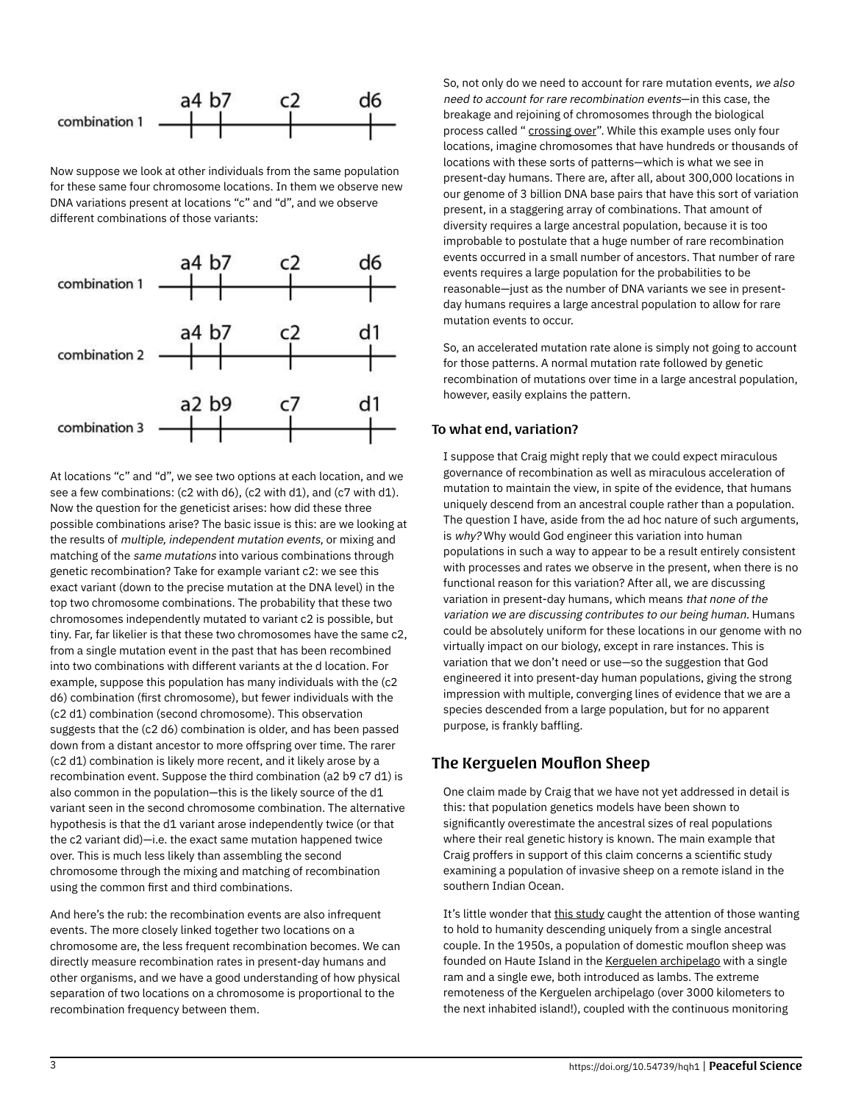

Now suppose we look at other individuals from the same population for these same four chromosome locations. In them we observe new DNA variations present at locations "c" and "d", and we observe different combinations of those variants:



At locations "c" and "d", we see two options at each location, and we see a few combinations: (c2 with d6), (c2 with d1), and (c7 with d1). Now the question for the geneticist arises: how did these three possible combinations arise? The basic issue is this: are we looking at the results of multiple, independent mutation events, or mixing and matching of the same mutations into various combinations through genetic recombination? Take for example variant c2: we see this exact variant (down to the precise mutation at the DNA level) in the top two chromosome combinations. The probability that these two chromosomes independently mutated to variant c2 is possible, but tiny. Far, far likelier is that these two chromosomes have the same c2, from a single mutation event in the past that has been recombined into two combinations with different variants at the d location. For example, suppose this population has many individuals with the (c2 d6) combination (first chromosome), but fewer individuals with the (c2 d1) combination (second chromosome). This observation suggests that the (c2 d6) combination is older, and has been passed down from a distant ancestor to more offspring over time. The rarer (c2 d1) combination is likely more recent, and it likely arose by a recombination event. Suppose the third combination (a2 b9 c7 d1) is also common in the population—this is the likely source of the d1 variant seen in the second chromosome combination. The alternative hypothesis is that the d1 variant arose independently twice (or that the c2 variant did)—i.e. the exact same mutation happened twice over. This is much less likely than assembling the second chromosome through the mixing and matching of recombination using the common first and third combinations.

And here's the rub: the recombination events are also infrequent events. The more closely linked together two locations on a chromosome are, the less frequent recombination becomes. We can directly measure recombination rates in present-day humans and other organisms, and we have a good understanding of how physical separation of two locations on a chromosome is proportional to the recombination frequency between them.

So, not only do we need to account for rare mutation events, we also need to account for rare recombination events—in this case, the breakage and rejoining of chromosomes through the biological process called " [crossing over](https://en.wikipedia.org/wiki/Chromosomal_crossover)". While this example uses only four locations, imagine chromosomes that have hundreds or thousands of locations with these sorts of patterns—which is what we see in present-day humans. There are, after all, about 300,000 locations in our genome of 3 billion DNA base pairs that have this sort of variation present, in a staggering array of combinations. That amount of diversity requires a large ancestral population, because it is too improbable to postulate that a huge number of rare recombination events occurred in a small number of ancestors. That number of rare events requires a large population for the probabilities to be reasonable—just as the number of DNA variants we see in presentday humans requires a large ancestral population to allow for rare mutation events to occur.

So, an accelerated mutation rate alone is simply not going to account for those patterns. A normal mutation rate followed by genetic recombination of mutations over time in a large ancestral population, however, easily explains the pattern.

#### To what end, variation?

I suppose that Craig might reply that we could expect miraculous governance of recombination as well as miraculous acceleration of mutation to maintain the view, in spite of the evidence, that humans uniquely descend from an ancestral couple rather than a population. The question I have, aside from the ad hoc nature of such arguments, is why? Why would God engineer this variation into human populations in such a way to appear to be a result entirely consistent with processes and rates we observe in the present, when there is no functional reason for this variation? After all, we are discussing variation in present-day humans, which means that none of the variation we are discussing contributes to our being human. Humans could be absolutely uniform for these locations in our genome with no virtually impact on our biology, except in rare instances. This is variation that we don't need or use—so the suggestion that God engineered it into present-day human populations, giving the strong impression with multiple, converging lines of evidence that we are a species descended from a large population, but for no apparent purpose, is frankly baffling.

## The Kerguelen Mouflon Sheep

One claim made by Craig that we have not yet addressed in detail is this: that population genetics models have been shown to significantly overestimate the ancestral sizes of real populations where their real genetic history is known. The main example that Craig proffers in support of this claim concerns a scientific study examining a population of invasive sheep on a remote island in the southern Indian Ocean.

It's little wonder that [this study](https://www.ncbi.nlm.nih.gov/pmc/articles/PMC1766376) caught the attention of those wanting to hold to humanity descending uniquely from a single ancestral couple. In the 1950s, a population of domestic mouflon sheep was founded on Haute Island in the [Kerguelen archipelago](https://en.wikipedia.org/wiki/Kerguelen_Islands) with a single ram and a single ewe, both introduced as lambs. The extreme remoteness of the Kerguelen archipelago (over 3000 kilometers to the next inhabited island!), coupled with the continuous monitoring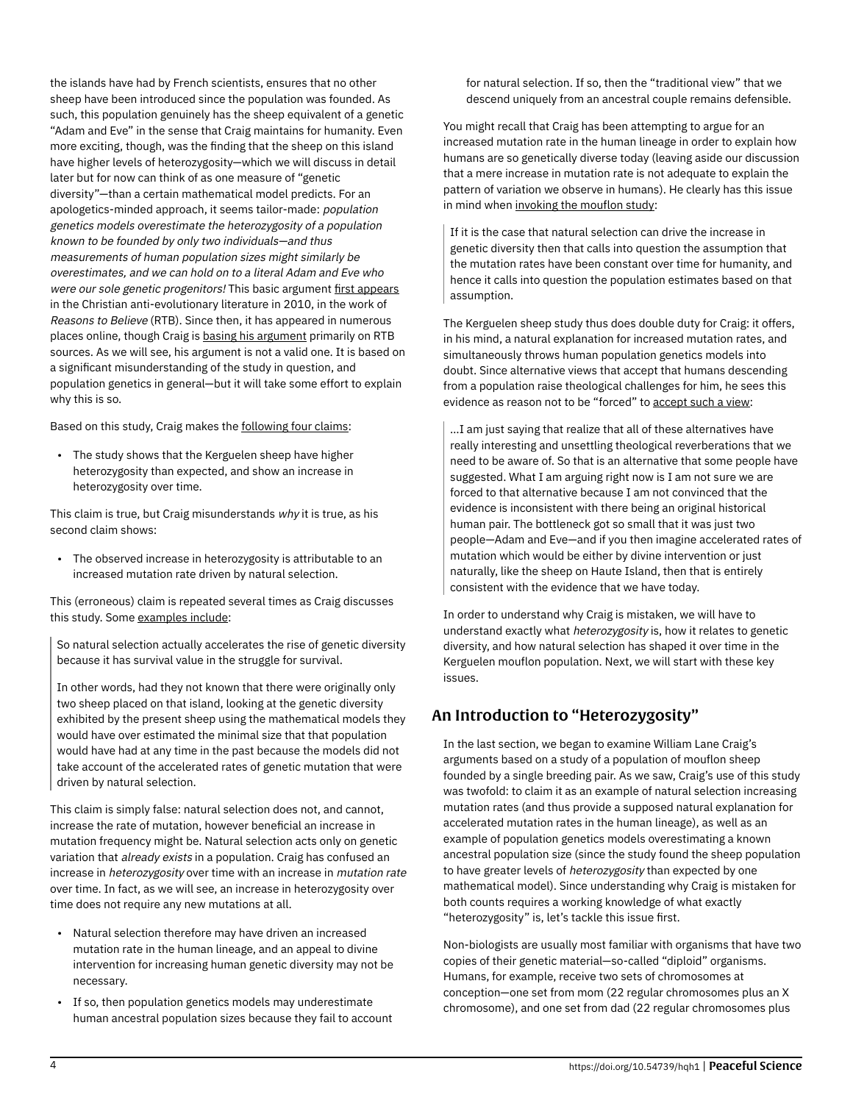the islands have had by French scientists, ensures that no other sheep have been introduced since the population was founded. As such, this population genuinely has the sheep equivalent of a genetic "Adam and Eve" in the sense that Craig maintains for humanity. Even more exciting, though, was the finding that the sheep on this island have higher levels of heterozygosity—which we will discuss in detail later but for now can think of as one measure of "genetic diversity"—than a certain mathematical model predicts. For an apologetics-minded approach, it seems tailor-made: population genetics models overestimate the heterozygosity of a population known to be founded by only two individuals—and thus measurements of human population sizes might similarly be overestimates, and we can hold on to a literal Adam and Eve who were our sole genetic progenitors! This basic argument [first appears](https://www.reasons.org/articles/were-they-real-the-scientific-case-for-adam-and-eve) in the Christian anti-evolutionary literature in 2010, in the work of Reasons to Believe (RTB). Since then, it has appeared in numerous places online, though Craig is [basing his argument](https://www.reasonablefaith.org/podcasts/defenders-podcast-series-2/s2-doctrine-of-man/doctrine-of-man-part-11) primarily on RTB sources. As we will see, his argument is not a valid one. It is based on a significant misunderstanding of the study in question, and population genetics in general—but it will take some effort to explain why this is so.

Based on this study, Craig makes the [following four claims](https://www.reasonablefaith.org/podcasts/defenders-podcast-series-2/s2-doctrine-of-man/doctrine-of-man-part-11):

• The study shows that the Kerguelen sheep have higher heterozygosity than expected, and show an increase in heterozygosity over time.

This claim is true, but Craig misunderstands why it is true, as his second claim shows:

• The observed increase in heterozygosity is attributable to an increased mutation rate driven by natural selection.

This (erroneous) claim is repeated several times as Craig discusses this study. Some [examples include:](https://www.reasonablefaith.org/podcasts/defenders-podcast-series-2/s2-doctrine-of-man/doctrine-of-man-part-11)

So natural selection actually accelerates the rise of genetic diversity because it has survival value in the struggle for survival.

In other words, had they not known that there were originally only two sheep placed on that island, looking at the genetic diversity exhibited by the present sheep using the mathematical models they would have over estimated the minimal size that that population would have had at any time in the past because the models did not take account of the accelerated rates of genetic mutation that were driven by natural selection.

This claim is simply false: natural selection does not, and cannot, increase the rate of mutation, however beneficial an increase in mutation frequency might be. Natural selection acts only on genetic variation that already exists in a population. Craig has confused an increase in heterozygosity over time with an increase in mutation rate over time. In fact, as we will see, an increase in heterozygosity over time does not require any new mutations at all.

- Natural selection therefore may have driven an increased mutation rate in the human lineage, and an appeal to divine intervention for increasing human genetic diversity may not be necessary.
- If so, then population genetics models may underestimate human ancestral population sizes because they fail to account

for natural selection. If so, then the "traditional view" that we descend uniquely from an ancestral couple remains defensible.

You might recall that Craig has been attempting to argue for an increased mutation rate in the human lineage in order to explain how humans are so genetically diverse today (leaving aside our discussion that a mere increase in mutation rate is not adequate to explain the pattern of variation we observe in humans). He clearly has this issue in mind when [invoking the mouflon study:](https://www.reasonablefaith.org/podcasts/defenders-podcast-series-2/s2-doctrine-of-man/doctrine-of-man-part-11)

If it is the case that natural selection can drive the increase in genetic diversity then that calls into question the assumption that the mutation rates have been constant over time for humanity, and hence it calls into question the population estimates based on that assumption.

The Kerguelen sheep study thus does double duty for Craig: it offers, in his mind, a natural explanation for increased mutation rates, and simultaneously throws human population genetics models into doubt. Since alternative views that accept that humans descending from a population raise theological challenges for him, he sees this evidence as reason not to be "forced" to [accept such a view](https://www.reasonablefaith.org/podcasts/defenders-podcast-series-2/s2-doctrine-of-man/doctrine-of-man-part-11):

…I am just saying that realize that all of these alternatives have really interesting and unsettling theological reverberations that we need to be aware of. So that is an alternative that some people have suggested. What I am arguing right now is I am not sure we are forced to that alternative because I am not convinced that the evidence is inconsistent with there being an original historical human pair. The bottleneck got so small that it was just two people—Adam and Eve—and if you then imagine accelerated rates of mutation which would be either by divine intervention or just naturally, like the sheep on Haute Island, then that is entirely consistent with the evidence that we have today.

In order to understand why Craig is mistaken, we will have to understand exactly what heterozygosity is, how it relates to genetic diversity, and how natural selection has shaped it over time in the Kerguelen mouflon population. Next, we will start with these key issues.

# An Introduction to "Heterozygosity"

In the last section, we began to examine William Lane Craig's arguments based on a study of a population of mouflon sheep founded by a single breeding pair. As we saw, Craig's use of this study was twofold: to claim it as an example of natural selection increasing mutation rates (and thus provide a supposed natural explanation for accelerated mutation rates in the human lineage), as well as an example of population genetics models overestimating a known ancestral population size (since the study found the sheep population to have greater levels of heterozygosity than expected by one mathematical model). Since understanding why Craig is mistaken for both counts requires a working knowledge of what exactly "heterozygosity" is, let's tackle this issue first.

Non-biologists are usually most familiar with organisms that have two copies of their genetic material—so-called "diploid" organisms. Humans, for example, receive two sets of chromosomes at conception—one set from mom (22 regular chromosomes plus an X chromosome), and one set from dad (22 regular chromosomes plus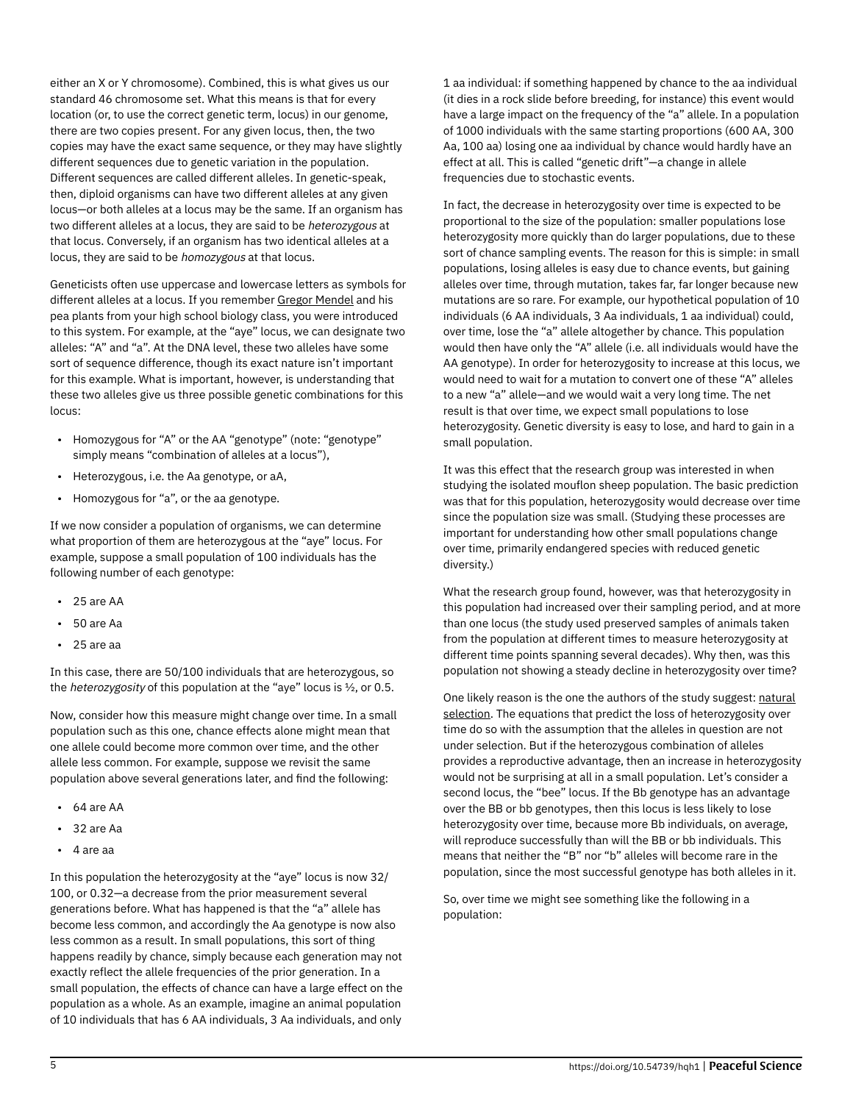either an X or Y chromosome). Combined, this is what gives us our standard 46 chromosome set. What this means is that for every location (or, to use the correct genetic term, locus) in our genome, there are two copies present. For any given locus, then, the two copies may have the exact same sequence, or they may have slightly different sequences due to genetic variation in the population. Different sequences are called different alleles. In genetic-speak, then, diploid organisms can have two different alleles at any given locus—or both alleles at a locus may be the same. If an organism has two different alleles at a locus, they are said to be heterozygous at that locus. Conversely, if an organism has two identical alleles at a locus, they are said to be homozygous at that locus.

Geneticists often use uppercase and lowercase letters as symbols for different alleles at a locus. If you remember [Gregor Mendel](https://en.wikipedia.org/wiki/Gregor_Mendel) and his pea plants from your high school biology class, you were introduced to this system. For example, at the "aye" locus, we can designate two alleles: "A" and "a". At the DNA level, these two alleles have some sort of sequence difference, though its exact nature isn't important for this example. What is important, however, is understanding that these two alleles give us three possible genetic combinations for this locus:

- Homozygous for "A" or the AA "genotype" (note: "genotype" simply means "combination of alleles at a locus"),
- Heterozygous, i.e. the Aa genotype, or aA,
- Homozygous for "a", or the aa genotype.

If we now consider a population of organisms, we can determine what proportion of them are heterozygous at the "aye" locus. For example, suppose a small population of 100 individuals has the following number of each genotype:

- 25 are AA
- 50 are Aa
- 25 are aa

In this case, there are 50/100 individuals that are heterozygous, so the *heterozygosity* of this population at the "aye" locus is  $\frac{1}{2}$ , or 0.5.

Now, consider how this measure might change over time. In a small population such as this one, chance effects alone might mean that one allele could become more common over time, and the other allele less common. For example, suppose we revisit the same population above several generations later, and find the following:

- 64 are AA
- 32 are Aa
- 4 are aa

In this population the heterozygosity at the "aye" locus is now 32/ 100, or 0.32—a decrease from the prior measurement several generations before. What has happened is that the "a" allele has become less common, and accordingly the Aa genotype is now also less common as a result. In small populations, this sort of thing happens readily by chance, simply because each generation may not exactly reflect the allele frequencies of the prior generation. In a small population, the effects of chance can have a large effect on the population as a whole. As an example, imagine an animal population of 10 individuals that has 6 AA individuals, 3 Aa individuals, and only

1 aa individual: if something happened by chance to the aa individual (it dies in a rock slide before breeding, for instance) this event would have a large impact on the frequency of the "a" allele. In a population of 1000 individuals with the same starting proportions (600 AA, 300 Aa, 100 aa) losing one aa individual by chance would hardly have an effect at all. This is called "genetic drift"—a change in allele frequencies due to stochastic events.

In fact, the decrease in heterozygosity over time is expected to be proportional to the size of the population: smaller populations lose heterozygosity more quickly than do larger populations, due to these sort of chance sampling events. The reason for this is simple: in small populations, losing alleles is easy due to chance events, but gaining alleles over time, through mutation, takes far, far longer because new mutations are so rare. For example, our hypothetical population of 10 individuals (6 AA individuals, 3 Aa individuals, 1 aa individual) could, over time, lose the "a" allele altogether by chance. This population would then have only the "A" allele (i.e. all individuals would have the AA genotype). In order for heterozygosity to increase at this locus, we would need to wait for a mutation to convert one of these "A" alleles to a new "a" allele—and we would wait a very long time. The net result is that over time, we expect small populations to lose heterozygosity. Genetic diversity is easy to lose, and hard to gain in a small population.

It was this effect that the research group was interested in when studying the isolated mouflon sheep population. The basic prediction was that for this population, heterozygosity would decrease over time since the population size was small. (Studying these processes are important for understanding how other small populations change over time, primarily endangered species with reduced genetic diversity.)

What the research group found, however, was that heterozygosity in this population had increased over their sampling period, and at more than one locus (the study used preserved samples of animals taken from the population at different times to measure heterozygosity at different time points spanning several decades). Why then, was this population not showing a steady decline in heterozygosity over time?

One likely reason is the one the authors of the study suggest: [natural](https://web.archive.org/web/20201109041558mp_/https://biologos.org/articles/natural-selection-and-the-human-lineage) [selection](https://web.archive.org/web/20201109041558mp_/https://biologos.org/articles/natural-selection-and-the-human-lineage). The equations that predict the loss of heterozygosity over time do so with the assumption that the alleles in question are not under selection. But if the heterozygous combination of alleles provides a reproductive advantage, then an increase in heterozygosity would not be surprising at all in a small population. Let's consider a second locus, the "bee" locus. If the Bb genotype has an advantage over the BB or bb genotypes, then this locus is less likely to lose heterozygosity over time, because more Bb individuals, on average, will reproduce successfully than will the BB or bb individuals. This means that neither the "B" nor "b" alleles will become rare in the population, since the most successful genotype has both alleles in it.

So, over time we might see something like the following in a population: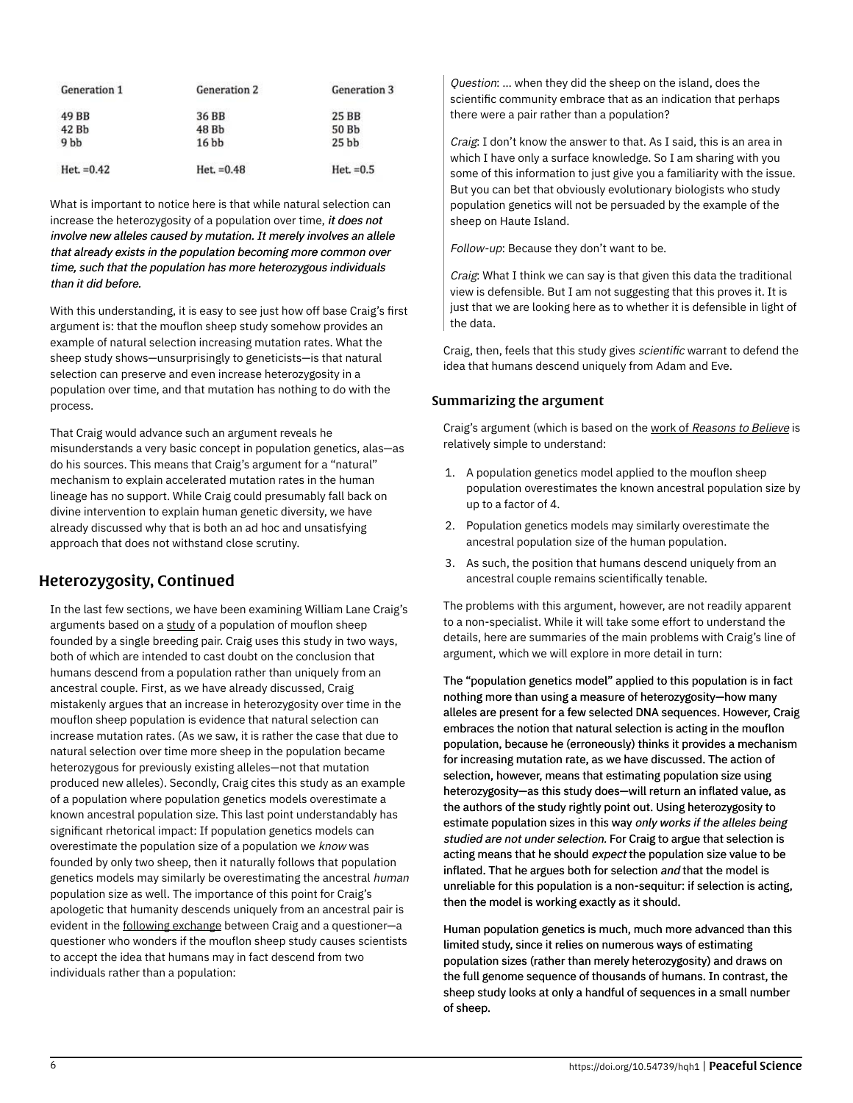| Generation 1<br>49 BB | Generation 2<br>36 BB | Generation 3<br>25 BB |
|-----------------------|-----------------------|-----------------------|
|                       |                       |                       |
| 9 <sub>bb</sub>       | 16 <sub>bb</sub>      | 25 <sub>bb</sub>      |
| $Het = 0.42$          | $Het. =0.48$          | $Het = 0.5$           |

What is important to notice here is that while natural selection can increase the heterozygosity of a population over time, it does not involve new alleles caused by mutation. It merely involves an allele that already exists in the population becoming more common over time, such that the population has more heterozygous individuals than it did before.

With this understanding, it is easy to see just how off base Craig's first argument is: that the mouflon sheep study somehow provides an example of natural selection increasing mutation rates. What the sheep study shows—unsurprisingly to geneticists—is that natural selection can preserve and even increase heterozygosity in a population over time, and that mutation has nothing to do with the process.

That Craig would advance such an argument reveals he misunderstands a very basic concept in population genetics, alas—as do his sources. This means that Craig's argument for a "natural" mechanism to explain accelerated mutation rates in the human lineage has no support. While Craig could presumably fall back on divine intervention to explain human genetic diversity, we have already discussed why that is both an ad hoc and unsatisfying approach that does not withstand close scrutiny.

## Heterozygosity, Continued

In the last few sections, we have been examining William Lane Craig's arguments based on a [study](http://www.ncbi.nlm.nih.gov/pmc/articles/PMC1766376) of a population of mouflon sheep founded by a single breeding pair. Craig uses this study in two ways, both of which are intended to cast doubt on the conclusion that humans descend from a population rather than uniquely from an ancestral couple. First, as we have already discussed, Craig mistakenly argues that an increase in heterozygosity over time in the mouflon sheep population is evidence that natural selection can increase mutation rates. (As we saw, it is rather the case that due to natural selection over time more sheep in the population became heterozygous for previously existing alleles—not that mutation produced new alleles). Secondly, Craig cites this study as an example of a population where population genetics models overestimate a known ancestral population size. This last point understandably has significant rhetorical impact: If population genetics models can overestimate the population size of a population we know was founded by only two sheep, then it naturally follows that population genetics models may similarly be overestimating the ancestral human population size as well. The importance of this point for Craig's apologetic that humanity descends uniquely from an ancestral pair is evident in the [following exchange](https://www.reasonablefaith.org/podcasts/defenders-podcast-series-2/s2-doctrine-of-man/doctrine-of-man-part-11) between Craig and a questioner—a questioner who wonders if the mouflon sheep study causes scientists to accept the idea that humans may in fact descend from two individuals rather than a population:

Question: ... when they did the sheep on the island, does the scientific community embrace that as an indication that perhaps there were a pair rather than a population?

Craig: I don't know the answer to that. As I said, this is an area in which I have only a surface knowledge. So I am sharing with you some of this information to just give you a familiarity with the issue. But you can bet that obviously evolutionary biologists who study population genetics will not be persuaded by the example of the sheep on Haute Island.

Follow-up: Because they don't want to be.

Craig: What I think we can say is that given this data the traditional view is defensible. But I am not suggesting that this proves it. It is just that we are looking here as to whether it is defensible in light of the data.

Craig, then, feels that this study gives scientific warrant to defend the idea that humans descend uniquely from Adam and Eve.

### Summarizing the argument

Craig's argument (which is based on the work of [Reasons to Believe](https://www.reasons.org/articles/were-they-real-the-scientific-case-for-adam-and-eve) is relatively simple to understand:

- 1. A population genetics model applied to the mouflon sheep population overestimates the known ancestral population size by up to a factor of 4.
- 2. Population genetics models may similarly overestimate the ancestral population size of the human population.
- 3. As such, the position that humans descend uniquely from an ancestral couple remains scientifically tenable.

The problems with this argument, however, are not readily apparent to a non-specialist. While it will take some effort to understand the details, here are summaries of the main problems with Craig's line of argument, which we will explore in more detail in turn:

The "population genetics model" applied to this population is in fact nothing more than using a measure of heterozygosity—how many alleles are present for a few selected DNA sequences. However, Craig embraces the notion that natural selection is acting in the mouflon population, because he (erroneously) thinks it provides a mechanism for increasing mutation rate, as we have discussed. The action of selection, however, means that estimating population size using heterozygosity—as this study does—will return an inflated value, as the authors of the study rightly point out. Using heterozygosity to estimate population sizes in this way only works if the alleles being studied are not under selection. For Craig to argue that selection is acting means that he should expect the population size value to be inflated. That he argues both for selection and that the model is unreliable for this population is a non-sequitur: if selection is acting, then the model is working exactly as it should.

Human population genetics is much, much more advanced than this limited study, since it relies on numerous ways of estimating population sizes (rather than merely heterozygosity) and draws on the full genome sequence of thousands of humans. In contrast, the sheep study looks at only a handful of sequences in a small number of sheep.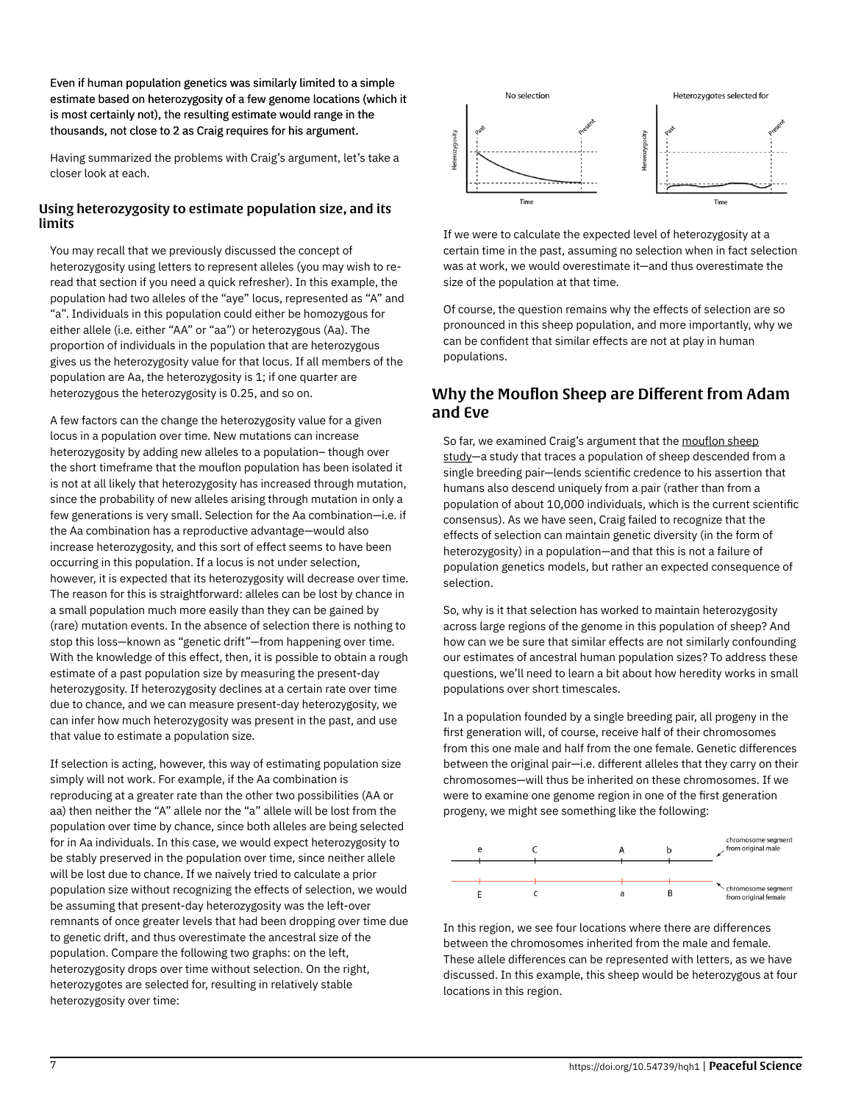Even if human population genetics was similarly limited to a simple estimate based on heterozygosity of a few genome locations (which it is most certainly not), the resulting estimate would range in the thousands, not close to 2 as Craig requires for his argument.

Having summarized the problems with Craig's argument, let's take a closer look at each.

### Using heterozygosity to estimate population size, and its limits

You may recall that we previously discussed the concept of heterozygosity using letters to represent alleles (you may wish to reread that section if you need a quick refresher). In this example, the population had two alleles of the "aye" locus, represented as "A" and "a". Individuals in this population could either be homozygous for either allele (i.e. either "AA" or "aa") or heterozygous (Aa). The proportion of individuals in the population that are heterozygous gives us the heterozygosity value for that locus. If all members of the population are Aa, the heterozygosity is 1; if one quarter are heterozygous the heterozygosity is 0.25, and so on.

A few factors can the change the heterozygosity value for a given locus in a population over time. New mutations can increase heterozygosity by adding new alleles to a population– though over the short timeframe that the mouflon population has been isolated it is not at all likely that heterozygosity has increased through mutation, since the probability of new alleles arising through mutation in only a few generations is very small. Selection for the Aa combination—i.e. if the Aa combination has a reproductive advantage—would also increase heterozygosity, and this sort of effect seems to have been occurring in this population. If a locus is not under selection, however, it is expected that its heterozygosity will decrease over time. The reason for this is straightforward: alleles can be lost by chance in a small population much more easily than they can be gained by (rare) mutation events. In the absence of selection there is nothing to stop this loss—known as "genetic drift"—from happening over time. With the knowledge of this effect, then, it is possible to obtain a rough estimate of a past population size by measuring the present-day heterozygosity. If heterozygosity declines at a certain rate over time due to chance, and we can measure present-day heterozygosity, we can infer how much heterozygosity was present in the past, and use that value to estimate a population size.

If selection is acting, however, this way of estimating population size simply will not work. For example, if the Aa combination is reproducing at a greater rate than the other two possibilities (AA or aa) then neither the "A" allele nor the "a" allele will be lost from the population over time by chance, since both alleles are being selected for in Aa individuals. In this case, we would expect heterozygosity to be stably preserved in the population over time, since neither allele will be lost due to chance. If we naively tried to calculate a prior population size without recognizing the effects of selection, we would be assuming that present-day heterozygosity was the left-over remnants of once greater levels that had been dropping over time due to genetic drift, and thus overestimate the ancestral size of the population. Compare the following two graphs: on the left, heterozygosity drops over time without selection. On the right, heterozygotes are selected for, resulting in relatively stable heterozygosity over time:



If we were to calculate the expected level of heterozygosity at a certain time in the past, assuming no selection when in fact selection was at work, we would overestimate it—and thus overestimate the size of the population at that time.

Of course, the question remains why the effects of selection are so pronounced in this sheep population, and more importantly, why we can be confident that similar effects are not at play in human populations.

## Why the Mouflon Sheep are Different from Adam and Eve

So far, we examined Craig's argument that the [mouflon sheep](https://www.ncbi.nlm.nih.gov/pmc/articles/PMC1766376) [study—](https://www.ncbi.nlm.nih.gov/pmc/articles/PMC1766376)a study that traces a population of sheep descended from a single breeding pair—lends scientific credence to his assertion that humans also descend uniquely from a pair (rather than from a population of about 10,000 individuals, which is the current scientific consensus). As we have seen, Craig failed to recognize that the effects of selection can maintain genetic diversity (in the form of heterozygosity) in a population—and that this is not a failure of population genetics models, but rather an expected consequence of selection.

So, why is it that selection has worked to maintain heterozygosity across large regions of the genome in this population of sheep? And how can we be sure that similar effects are not similarly confounding our estimates of ancestral human population sizes? To address these questions, we'll need to learn a bit about how heredity works in small populations over short timescales.

In a population founded by a single breeding pair, all progeny in the first generation will, of course, receive half of their chromosomes from this one male and half from the one female. Genetic differences between the original pair—i.e. different alleles that they carry on their chromosomes—will thus be inherited on these chromosomes. If we were to examine one genome region in one of the first generation progeny, we might see something like the following:



In this region, we see four locations where there are differences between the chromosomes inherited from the male and female. These allele differences can be represented with letters, as we have discussed. In this example, this sheep would be heterozygous at four locations in this region.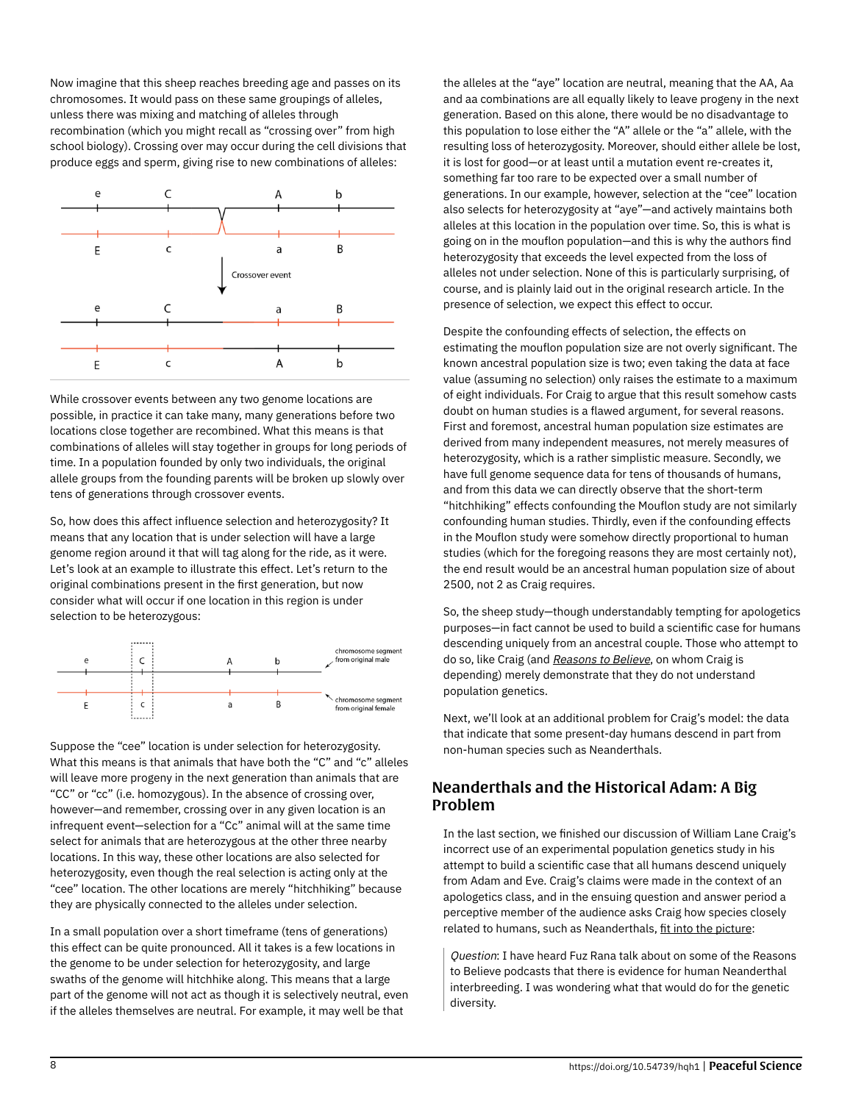Now imagine that this sheep reaches breeding age and passes on its chromosomes. It would pass on these same groupings of alleles, unless there was mixing and matching of alleles through recombination (which you might recall as "crossing over" from high school biology). Crossing over may occur during the cell divisions that produce eggs and sperm, giving rise to new combinations of alleles:



While crossover events between any two genome locations are possible, in practice it can take many, many generations before two locations close together are recombined. What this means is that combinations of alleles will stay together in groups for long periods of time. In a population founded by only two individuals, the original allele groups from the founding parents will be broken up slowly over tens of generations through crossover events.

So, how does this affect influence selection and heterozygosity? It means that any location that is under selection will have a large genome region around it that will tag along for the ride, as it were. Let's look at an example to illustrate this effect. Let's return to the original combinations present in the first generation, but now consider what will occur if one location in this region is under selection to be heterozygous:



Suppose the "cee" location is under selection for heterozygosity. What this means is that animals that have both the "C" and "c" alleles will leave more progeny in the next generation than animals that are "CC" or "cc" (i.e. homozygous). In the absence of crossing over, however—and remember, crossing over in any given location is an infrequent event—selection for a "Cc" animal will at the same time select for animals that are heterozygous at the other three nearby locations. In this way, these other locations are also selected for heterozygosity, even though the real selection is acting only at the "cee" location. The other locations are merely "hitchhiking" because they are physically connected to the alleles under selection.

In a small population over a short timeframe (tens of generations) this effect can be quite pronounced. All it takes is a few locations in the genome to be under selection for heterozygosity, and large swaths of the genome will hitchhike along. This means that a large part of the genome will not act as though it is selectively neutral, even if the alleles themselves are neutral. For example, it may well be that

the alleles at the "aye" location are neutral, meaning that the AA, Aa and aa combinations are all equally likely to leave progeny in the next generation. Based on this alone, there would be no disadvantage to this population to lose either the "A" allele or the "a" allele, with the resulting loss of heterozygosity. Moreover, should either allele be lost, it is lost for good—or at least until a mutation event re-creates it, something far too rare to be expected over a small number of generations. In our example, however, selection at the "cee" location also selects for heterozygosity at "aye"—and actively maintains both alleles at this location in the population over time. So, this is what is going on in the mouflon population—and this is why the authors find heterozygosity that exceeds the level expected from the loss of alleles not under selection. None of this is particularly surprising, of course, and is plainly laid out in the original research article. In the presence of selection, we expect this effect to occur.

Despite the confounding effects of selection, the effects on estimating the mouflon population size are not overly significant. The known ancestral population size is two; even taking the data at face value (assuming no selection) only raises the estimate to a maximum of eight individuals. For Craig to argue that this result somehow casts doubt on human studies is a flawed argument, for several reasons. First and foremost, ancestral human population size estimates are derived from many independent measures, not merely measures of heterozygosity, which is a rather simplistic measure. Secondly, we have full genome sequence data for tens of thousands of humans, and from this data we can directly observe that the short-term "hitchhiking" effects confounding the Mouflon study are not similarly confounding human studies. Thirdly, even if the confounding effects in the Mouflon study were somehow directly proportional to human studies (which for the foregoing reasons they are most certainly not), the end result would be an ancestral human population size of about 2500, not 2 as Craig requires.

So, the sheep study—though understandably tempting for apologetics purposes—in fact cannot be used to build a scientific case for humans descending uniquely from an ancestral couple. Those who attempt to do so, like Craig (and [Reasons to Believe](https://www.reasons.org/articles/were-they-real-the-scientific-case-for-adam-and-eve), on whom Craig is depending) merely demonstrate that they do not understand population genetics.

Next, we'll look at an additional problem for Craig's model: the data that indicate that some present-day humans descend in part from non-human species such as Neanderthals.

## Neanderthals and the Historical Adam: A Big Problem

In the last section, we finished our discussion of William Lane Craig's incorrect use of an experimental population genetics study in his attempt to build a scientific case that all humans descend uniquely from Adam and Eve. Craig's claims were made in the context of an apologetics class, and in the ensuing question and answer period a perceptive member of the audience asks Craig how species closely related to humans, such as Neanderthals, [fit into the picture:](https://www.reasonablefaith.org/podcasts/defenders-podcast-series-2/s2-doctrine-of-man/doctrine-of-man-part-11)

Question: I have heard Fuz Rana talk about on some of the Reasons to Believe podcasts that there is evidence for human Neanderthal interbreeding. I was wondering what that would do for the genetic diversity.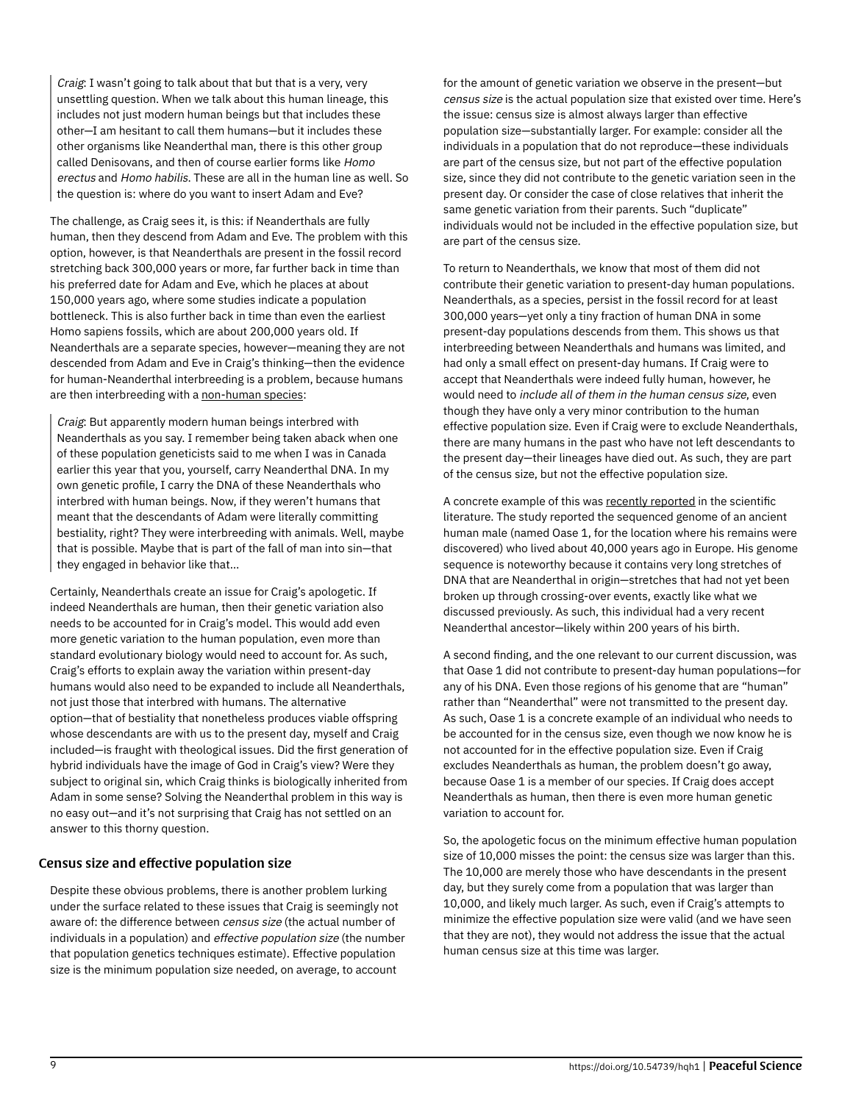Craig: I wasn't going to talk about that but that is a very, very unsettling question. When we talk about this human lineage, this includes not just modern human beings but that includes these other—I am hesitant to call them humans—but it includes these other organisms like Neanderthal man, there is this other group called Denisovans, and then of course earlier forms like Homo erectus and Homo habilis. These are all in the human line as well. So the question is: where do you want to insert Adam and Eve?

The challenge, as Craig sees it, is this: if Neanderthals are fully human, then they descend from Adam and Eve. The problem with this option, however, is that Neanderthals are present in the fossil record stretching back 300,000 years or more, far further back in time than his preferred date for Adam and Eve, which he places at about 150,000 years ago, where some studies indicate a population bottleneck. This is also further back in time than even the earliest Homo sapiens fossils, which are about 200,000 years old. If Neanderthals are a separate species, however—meaning they are not descended from Adam and Eve in Craig's thinking—then the evidence for human-Neanderthal interbreeding is a problem, because humans are then interbreeding with a [non-human species:](https://www.reasonablefaith.org/podcasts/defenders-podcast-series-2/s2-doctrine-of-man/doctrine-of-man-part-11)

Craig: But apparently modern human beings interbred with Neanderthals as you say. I remember being taken aback when one of these population geneticists said to me when I was in Canada earlier this year that you, yourself, carry Neanderthal DNA. In my own genetic profile, I carry the DNA of these Neanderthals who interbred with human beings. Now, if they weren't humans that meant that the descendants of Adam were literally committing bestiality, right? They were interbreeding with animals. Well, maybe that is possible. Maybe that is part of the fall of man into sin—that they engaged in behavior like that…

Certainly, Neanderthals create an issue for Craig's apologetic. If indeed Neanderthals are human, then their genetic variation also needs to be accounted for in Craig's model. This would add even more genetic variation to the human population, even more than standard evolutionary biology would need to account for. As such, Craig's efforts to explain away the variation within present-day humans would also need to be expanded to include all Neanderthals, not just those that interbred with humans. The alternative option—that of bestiality that nonetheless produces viable offspring whose descendants are with us to the present day, myself and Craig included—is fraught with theological issues. Did the first generation of hybrid individuals have the image of God in Craig's view? Were they subject to original sin, which Craig thinks is biologically inherited from Adam in some sense? Solving the Neanderthal problem in this way is no easy out—and it's not surprising that Craig has not settled on an answer to this thorny question.

#### Census size and effective population size

Despite these obvious problems, there is another problem lurking under the surface related to these issues that Craig is seemingly not aware of: the difference between census size (the actual number of individuals in a population) and effective population size (the number that population genetics techniques estimate). Effective population size is the minimum population size needed, on average, to account

for the amount of genetic variation we observe in the present—but census size is the actual population size that existed over time. Here's the issue: census size is almost always larger than effective population size—substantially larger. For example: consider all the individuals in a population that do not reproduce—these individuals are part of the census size, but not part of the effective population size, since they did not contribute to the genetic variation seen in the present day. Or consider the case of close relatives that inherit the same genetic variation from their parents. Such "duplicate" individuals would not be included in the effective population size, but are part of the census size.

To return to Neanderthals, we know that most of them did not contribute their genetic variation to present-day human populations. Neanderthals, as a species, persist in the fossil record for at least 300,000 years—yet only a tiny fraction of human DNA in some present-day populations descends from them. This shows us that interbreeding between Neanderthals and humans was limited, and had only a small effect on present-day humans. If Craig were to accept that Neanderthals were indeed fully human, however, he would need to include all of them in the human census size, even though they have only a very minor contribution to the human effective population size. Even if Craig were to exclude Neanderthals, there are many humans in the past who have not left descendants to the present day—their lineages have died out. As such, they are part of the census size, but not the effective population size.

A concrete example of this was [recently reported](https://www.nature.com/nature/journal/v524/n7564/full/nature14558.html) in the scientific literature. The study reported the sequenced genome of an ancient human male (named Oase 1, for the location where his remains were discovered) who lived about 40,000 years ago in Europe. His genome sequence is noteworthy because it contains very long stretches of DNA that are Neanderthal in origin—stretches that had not yet been broken up through crossing-over events, exactly like what we discussed previously. As such, this individual had a very recent Neanderthal ancestor—likely within 200 years of his birth.

A second finding, and the one relevant to our current discussion, was that Oase 1 did not contribute to present-day human populations—for any of his DNA. Even those regions of his genome that are "human" rather than "Neanderthal" were not transmitted to the present day. As such, Oase 1 is a concrete example of an individual who needs to be accounted for in the census size, even though we now know he is not accounted for in the effective population size. Even if Craig excludes Neanderthals as human, the problem doesn't go away, because Oase 1 is a member of our species. If Craig does accept Neanderthals as human, then there is even more human genetic variation to account for.

So, the apologetic focus on the minimum effective human population size of 10,000 misses the point: the census size was larger than this. The 10,000 are merely those who have descendants in the present day, but they surely come from a population that was larger than 10,000, and likely much larger. As such, even if Craig's attempts to minimize the effective population size were valid (and we have seen that they are not), they would not address the issue that the actual human census size at this time was larger.